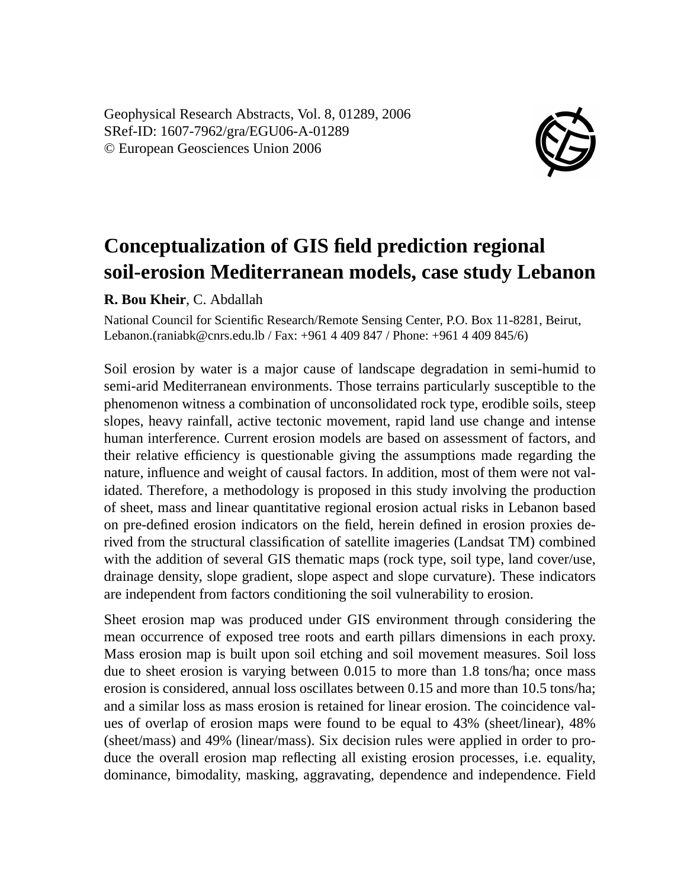Geophysical Research Abstracts, Vol. 8, 01289, 2006 SRef-ID: 1607-7962/gra/EGU06-A-01289 © European Geosciences Union 2006



## **Conceptualization of GIS field prediction regional soil-erosion Mediterranean models, case study Lebanon**

**R. Bou Kheir**, C. Abdallah

National Council for Scientific Research/Remote Sensing Center, P.O. Box 11-8281, Beirut, Lebanon.(raniabk@cnrs.edu.lb / Fax: +961 4 409 847 / Phone: +961 4 409 845/6)

Soil erosion by water is a major cause of landscape degradation in semi-humid to semi-arid Mediterranean environments. Those terrains particularly susceptible to the phenomenon witness a combination of unconsolidated rock type, erodible soils, steep slopes, heavy rainfall, active tectonic movement, rapid land use change and intense human interference. Current erosion models are based on assessment of factors, and their relative efficiency is questionable giving the assumptions made regarding the nature, influence and weight of causal factors. In addition, most of them were not validated. Therefore, a methodology is proposed in this study involving the production of sheet, mass and linear quantitative regional erosion actual risks in Lebanon based on pre-defined erosion indicators on the field, herein defined in erosion proxies derived from the structural classification of satellite imageries (Landsat TM) combined with the addition of several GIS thematic maps (rock type, soil type, land cover/use, drainage density, slope gradient, slope aspect and slope curvature). These indicators are independent from factors conditioning the soil vulnerability to erosion.

Sheet erosion map was produced under GIS environment through considering the mean occurrence of exposed tree roots and earth pillars dimensions in each proxy. Mass erosion map is built upon soil etching and soil movement measures. Soil loss due to sheet erosion is varying between 0.015 to more than 1.8 tons/ha; once mass erosion is considered, annual loss oscillates between 0.15 and more than 10.5 tons/ha; and a similar loss as mass erosion is retained for linear erosion. The coincidence values of overlap of erosion maps were found to be equal to 43% (sheet/linear), 48% (sheet/mass) and 49% (linear/mass). Six decision rules were applied in order to produce the overall erosion map reflecting all existing erosion processes, i.e. equality, dominance, bimodality, masking, aggravating, dependence and independence. Field